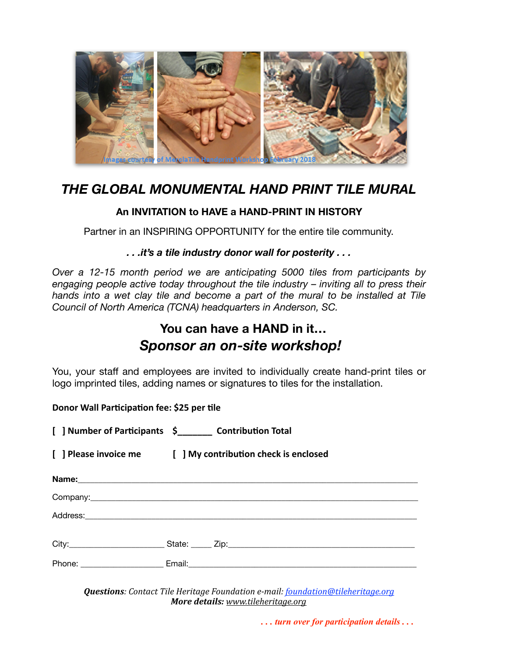

### *THE GLOBAL MONUMENTAL HAND PRINT TILE MURAL*

#### **An INVITATION to HAVE a HAND-PRINT IN HISTORY**

Partner in an INSPIRING OPPORTUNITY for the entire tile community.

#### *. . .it's a tile industry donor wall for posterity . . .*

*Over a 12-15 month period we are anticipating 5000 tiles from participants by engaging people active today throughout the tile industry – inviting all to press their*  hands into a wet clay tile and become a part of the mural to be installed at Tile *Council of North America (TCNA) headquarters in Anderson, SC.* 

## **You can have a HAND in it…**  *Sponsor an on-site workshop!*

You, your staff and employees are invited to individually create hand-print tiles or logo imprinted tiles, adding names or signatures to tiles for the installation.

#### **Donor Wall Participation fee: \$25 per tile**

[ ] Number of Participants \$\_\_\_\_\_\_\_\_ Contribution Total

**[ ] Please invoice me [ ] My contribu\*on check is enclosed**

|  |  | State: <u>Cip:</u> Zip: |  |
|--|--|-------------------------|--|
|  |  |                         |  |

*Questions: Contact Tile Heritage Foundation e-mail: foundation@tileheritage.org More details: [www.tileheritage.org](http://www.tileheritage.org)*

 *. . . turn over for participation details . . .*